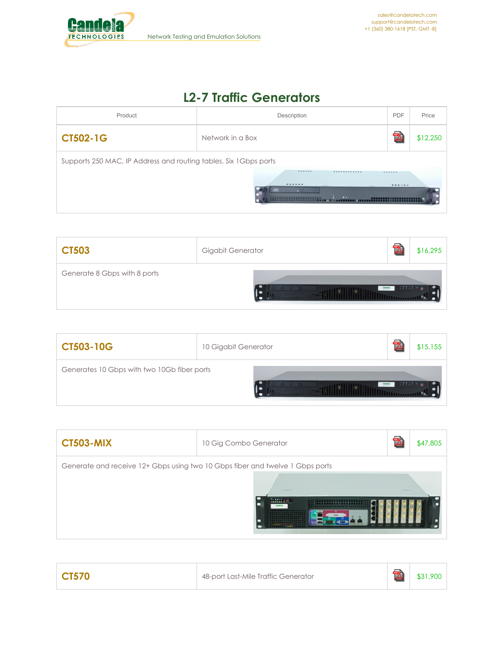

## **L2-7 Traffic Generators**

| Product                                                           | Description                                                                                                             | <b>PDF</b>               | Price    |
|-------------------------------------------------------------------|-------------------------------------------------------------------------------------------------------------------------|--------------------------|----------|
| <b>CT502-1G</b>                                                   | Network in a Box                                                                                                        | $\overline{\phantom{a}}$ | \$12,250 |
| Supports 250 MAC, IP Address and routing tables. Six 1 Gbps ports | ------<br>------------<br>------<br><b>Contract Contract Contract</b><br>$  -$<br>$\rightarrow$<br>FFFFFFFFFFFFFFFFFFFF | ------<br>0.9.0 8.0 8.0  |          |

| <b>CT503</b>                 | Gigabit Generator |          | \$16,295 |
|------------------------------|-------------------|----------|----------|
| Generate 8 Gbps with 8 ports |                   | $\cdots$ |          |

| <b>CT503-10G</b>                            | 10 Gigabit Generator | \$15,155 |
|---------------------------------------------|----------------------|----------|
| Generates 10 Gbps with two 10Gb fiber ports |                      |          |

| <b>CT503-MIX</b> | 10 Gig Combo Generator                                                                                                                                                                    | <b>Pos</b> | \$47,805 |
|------------------|-------------------------------------------------------------------------------------------------------------------------------------------------------------------------------------------|------------|----------|
|                  | Generate and receive 12+ Gbps using two 10 Gbps fiber and twelve 1 Gbps ports<br><b>MAARS</b><br><b>COL BASE</b><br><br><br>----------------<br><br><b><i><u>ARRAIG</u> POSTERURE</i></b> | --         |          |

| CT570 | 48-port Last-Mile Traffic Generator |  | .900. |
|-------|-------------------------------------|--|-------|
|-------|-------------------------------------|--|-------|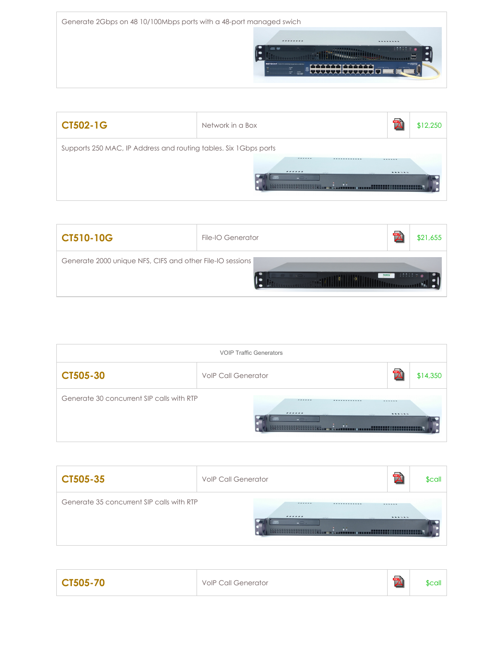

| <b>CT502-1G</b>                                                   | Network in a Box                                                                                                                   |                   | \$12,250 |
|-------------------------------------------------------------------|------------------------------------------------------------------------------------------------------------------------------------|-------------------|----------|
| Supports 250 MAC, IP Address and routing tables. Six 1 Gbps ports | -------<br>-----------<br>------<br><b>CALIFORNIA</b><br>$-\Box$ .<br>$\ddot{\bullet}$ $\ddot{\bullet}$<br>00000000000000000000000 | ------<br>0.98999 |          |

| <b>CT510-10G</b>                                          | File-IO Generator | \$21,655 |
|-----------------------------------------------------------|-------------------|----------|
| Generate 2000 unique NFS, CIFS and other File-IO sessions | $-1$              |          |

| <b>VOIP Traffic Generators</b>                                                                                                                                            |                            |  |          |  |  |
|---------------------------------------------------------------------------------------------------------------------------------------------------------------------------|----------------------------|--|----------|--|--|
| CT505-30                                                                                                                                                                  | <b>VolP Call Generator</b> |  | \$14,350 |  |  |
| Generate 30 concurrent SIP calls with RTP<br>------<br>-----------<br>------<br>------<br><br>$\sim$<br><b>LEARNING</b><br>$  -$<br>$\rightarrow$<br>EN PERFETTI PRESIDEN |                            |  |          |  |  |

| CT505-35                                  | <b>VolP Call Generator</b>                                                                                     |            | \$call |
|-------------------------------------------|----------------------------------------------------------------------------------------------------------------|------------|--------|
| Generate 35 concurrent SIP calls with RTP | ------<br>------------<br>------<br>CALIFORNIA 1<br>CONTRACTOR<br>$  -$<br>$\rightarrow$<br>100000000000000000 | ------<br> |        |

| CT505-70 | <b>VoIP Call Generator</b> | de al<br><b>A</b> | <b>Scall</b> |
|----------|----------------------------|-------------------|--------------|
|----------|----------------------------|-------------------|--------------|